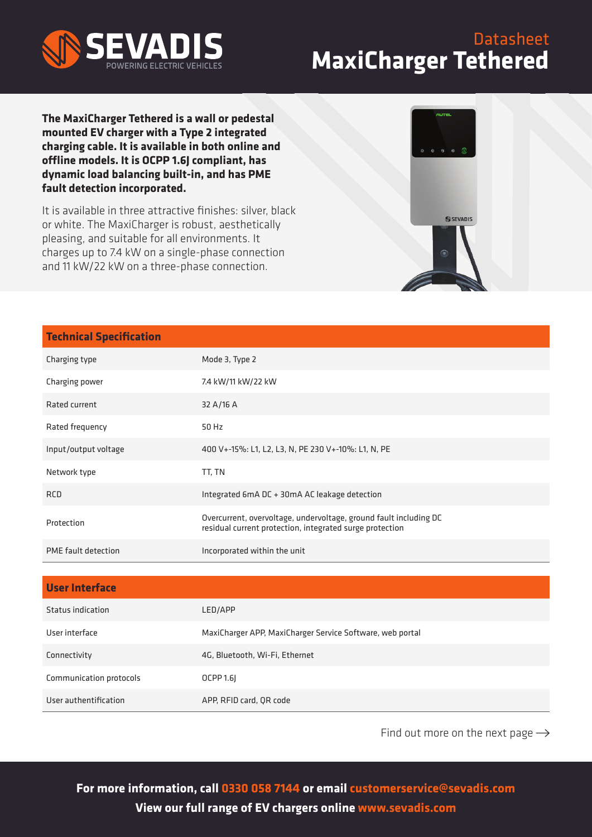

## **Datasheet MaxiCharger Tethered**

**The MaxiCharger Tethered is a wall or pedestal mounted EV charger with a Type 2 integrated charging cable. It is available in both online and offline models. It is OCPP 1.6J compliant, has dynamic load balancing built-in, and has PME fault detection incorporated.**

It is available in three attractive finishes: silver, black or white. The MaxiCharger is robust, aesthetically pleasing, and suitable for all environments. It charges up to 7.4 kW on a single-phase connection and 11 kW/22 kW on a three-phase connection.



| <b>Technical Specification</b> |                                                                                                                               |
|--------------------------------|-------------------------------------------------------------------------------------------------------------------------------|
| Charging type                  | Mode 3, Type 2                                                                                                                |
| Charging power                 | 7.4 kW/11 kW/22 kW                                                                                                            |
| Rated current                  | 32 A/16 A                                                                                                                     |
| Rated frequency                | 50 Hz                                                                                                                         |
| Input/output voltage           | 400 V+-15%: L1, L2, L3, N, PE 230 V+-10%: L1, N, PE                                                                           |
| Network type                   | TT, TN                                                                                                                        |
| <b>RCD</b>                     | Integrated 6mA DC + 30mA AC leakage detection                                                                                 |
| Protection                     | Overcurrent, overvoltage, undervoltage, ground fault including DC<br>residual current protection, integrated surge protection |
| PME fault detection            | Incorporated within the unit                                                                                                  |
|                                |                                                                                                                               |
| <b>User Interface</b>          |                                                                                                                               |
| Status indication              | LED/APP                                                                                                                       |
| User interface                 | MaxiCharger APP, MaxiCharger Service Software, web portal                                                                     |
| Connectivity                   | 4G, Bluetooth, Wi-Fi, Ethernet                                                                                                |

User authentification APP, RFID card, QR code

Communication protocols OCPP 1.6J

Find out more on the next page  $\rightarrow$ 

**For more information, call 0330 058 7144 or email customerservice@sevadis.com View our full range of EV chargers online www.sevadis.com**